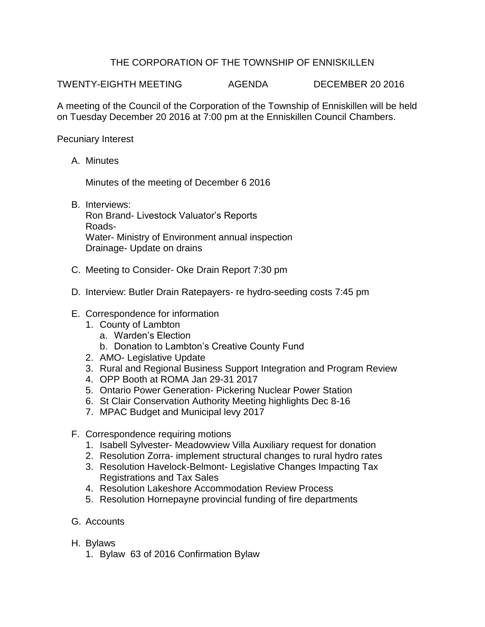## THE CORPORATION OF THE TOWNSHIP OF ENNISKILLEN

TWENTY-EIGHTH MEETING AGENDA DECEMBER 20 2016

A meeting of the Council of the Corporation of the Township of Enniskillen will be held on Tuesday December 20 2016 at 7:00 pm at the Enniskillen Council Chambers.

Pecuniary Interest

A. Minutes

Minutes of the meeting of December 6 2016

B. Interviews:

Ron Brand- Livestock Valuator's Reports Roads-Water- Ministry of Environment annual inspection Drainage- Update on drains

- C. Meeting to Consider- Oke Drain Report 7:30 pm
- D. Interview: Butler Drain Ratepayers- re hydro-seeding costs 7:45 pm
- E. Correspondence for information
	- 1. County of Lambton
		- a. Warden's Election
		- b. Donation to Lambton's Creative County Fund
	- 2. AMO- Legislative Update
	- 3. Rural and Regional Business Support Integration and Program Review
	- 4. OPP Booth at ROMA Jan 29-31 2017
	- 5. Ontario Power Generation- Pickering Nuclear Power Station
	- 6. St Clair Conservation Authority Meeting highlights Dec 8-16
	- 7. MPAC Budget and Municipal levy 2017
- F. Correspondence requiring motions
	- 1. Isabell Sylvester- Meadowview Villa Auxiliary request for donation
	- 2. Resolution Zorra- implement structural changes to rural hydro rates
	- 3. Resolution Havelock-Belmont- Legislative Changes Impacting Tax Registrations and Tax Sales
	- 4. Resolution Lakeshore Accommodation Review Process
	- 5. Resolution Hornepayne provincial funding of fire departments
- G. Accounts
- H. Bylaws
	- 1. Bylaw 63 of 2016 Confirmation Bylaw